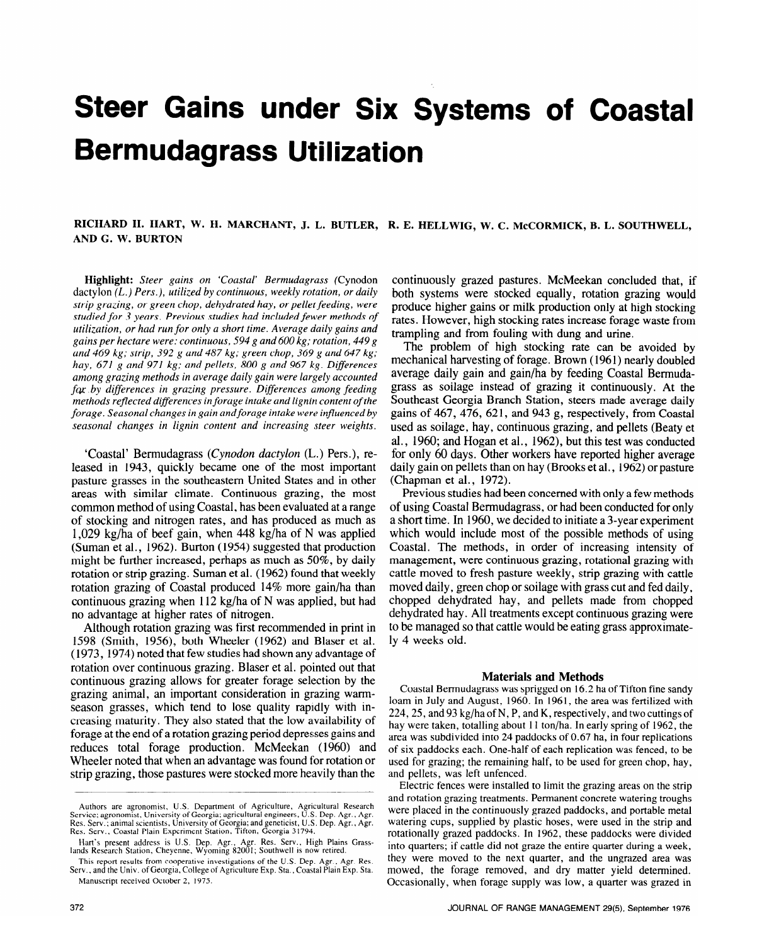# **Steer Gains under Six Systems of Coastal Bermudagrass Utilization**

## RICHARD H. HART, W. H. MARCHANT, J. L. BUTLER, R. E. HELLWIG, W. C. McCORMICK, B. L. SOUTHWELL, **AND G. W. BURTON**

Highlight: Steer gains on 'Coastal' Bermudagrass (Cynodon dactylon *(L.) Pers.), utilized by continuous, weekly rotation, or daily strip grazing, or green chop, dehydrated hay, or pellet feeding, were studied for 3 years. Previous studies had included fewer methods of utilization, or had run for only a short time. Average daily gains and gains per hectare were: continuous, 594 g and 600 kg; rotation, 449 g and 469 kg; strip, 392 g and 487 kg; green chop, 369 g and 647 kg; hay, 671 g and 971 kg; and pellets, 800 g and 967 kg. Diferences among grazing methods in average daily gain were largely accounted for by differences in grazing pressure. Differences among feeding methods reflected diflerences in forage intake and lignin content of the forage. Seasonal changes in gain andforage intake were influenced by seasonal changes in lignin content and increasing steer weights.* 

'Coastal' Bermudagrass *(Cynodon dactylon* (L,.) Pers.), released in 1943, quickly became one of the most important pasture grasses in the southeastern United States and in other areas with similar climate. Continuous grazing, the most common method of using Coastal, has been evaluated at a range of stocking and nitrogen rates, and has produced as much as 1,029 kg/ha of beef gain, when 448 kg/ha of N was applied (Suman et al., 1962). Burton ( 1954) suggested that production might be further increased, perhaps as much as 50%, by daily rotation or strip grazing. Suman et al. (1962) found that weekly rotation grazing of Coastal produced 14% more gain/ha than continuous grazing when 112 kg/ha of N was applied, but had no advantage at higher rates of nitrogen.

Although rotation grazing was first recommended in print in 1598 (Smith, 1956), both Wheeler (1962) and Blaser et al. ( 1973, 1974) noted that few studies had shown any advantage of rotation over continuous grazing. Blaser et al. pointed out that continuous grazing allows for greater forage selection by the grazing animal, an important consideration in grazing warmseason grasses, which tend to lose quality rapidly with increasing maturity. They also stated that the low availability of forage at the end of a rotation grazing period depresses gains and reduces total forage production. McMeekan (1960) and Wheeler noted that when an advantage was found for rotation or strip grazing, those pastures were stocked more heavily than the

continuously grazed pastures. McMeekan concluded that, if both systems were stocked equally, rotation grazing would produce higher gains or milk production only at high stocking rates. However, high stocking rates increase forage waste from trampling and from fouling with dung and urine.

The problem of high stocking rate can be avoided by mechanical harvesting of forage. Brown (1961) nearly doubled average daily gain and gain/ha by feeding Coastal Bermudagrass as soilage instead of grazing it continuously. At the Southeast Georgia Branch Station, steers made average daily gains of 467, 476, 621, and 943 g, respectively, from Coastal used as soilage, hay, continuous grazing, and pellets (Beaty et al., 1960; and Hogan et al., 1962), but this test was conducted for only 60 days. Other workers have reported higher average daily gain on pellets than on hay (Brooks et al., 1962) or pasture (Chapman et al., 1972).

Previous studies had been concerned with only a few methods of using Coastal Bermudagrass, or had been conducted for only a short time. In 1960, we decided to initiate a 3-year experiment which would include most of the possible methods of using Coastal. The methods, in order of increasing intensity of management, were continuous grazing, rotational grazing with cattle moved to fresh pasture weekly, strip grazing with cattle moved daily, green chop or soilage with grass cut and fed daily, chopped dehydrated hay, and pellets made from chopped dehydrated hay. All treatments except continuous grazing were to be managed so that cattle would be eating grass approximately 4 weeks old.

#### **Materials and Methods**

Coastal Bermudagrass was sprigged on 16.2 ha of Tifton fine sandy loam in July and August, 1960. In 1961, the area was fertilized with 224,25, and 93 kg/ha of N, P, and K, respectively, and two cuttings of hay were taken, totalling about 11 ton/ha. In early spring of 1962, the area was subdivided into 24 paddocks of 0.67 ha, in four replications of six paddocks each. One-half of each replication was fenced, to be used for grazing; the remaining half, to be used for green chop, hay, and pellets, was left unfenced.

Electric fences were installed to limit the grazing areas on the strip and rotation grazing treatments. Permanent concrete watering troughs were placed in the continuously grazed paddocks, and portable metal watering cups, supplied by plastic hoses, were used in the strip and rotationally grazed paddocks. In 1962, these paddocks were divided into quarters; if cattle did not graze the entire quarter during a week, they were moved to the next quarter, and the ungrazed area was mowed, the forage removed, and dry matter yield determined. Occasionally, when forage supply was low, a quarter was grazed in

**Authors are agronomist, U.S. Department of Agriculture, Agricultural Research Service; agronomist, University of Georgia; agricultural engineers, U.S. Dep. Agr., Agr. Res. Serv.; animal scientists, University of Georgia; and geneticist, U.S. Dep. Agr., Agr. Res. Serv., Coastal Plain Experiment Station, Tifton, Georgia 31794.** 

**Hart's present address is U.S. Dep. Agr., Agr. Res. Serv., High Plains lands Research Statton, Cheyenne, Wyoming 8200 I** ; **Southwell is now retired.** 

**This report results from cooperative investigations of the U.S. Dep. Agr., Agr. Res. Serv., and the Univ. of Georgia, College of Agriculture Exp. Sta., Coastal Plain Exp. Sta. Manuscript received October 2, 1975**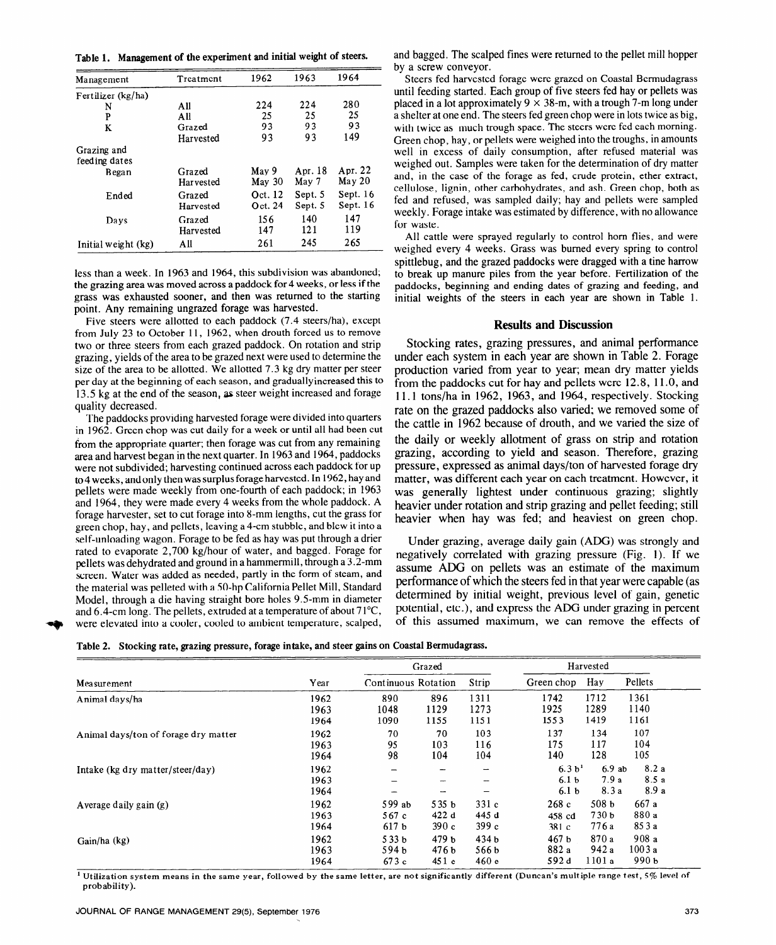Table **1.** Management of the experiment and initial weight of steers.

| Management          | Treatment                  | 1962              | 1963             | 1964              |  |
|---------------------|----------------------------|-------------------|------------------|-------------------|--|
| Fertilizer (kg/ha)  |                            |                   |                  |                   |  |
| N                   | All                        | 224               | 224              | 280               |  |
| P                   | All                        | 25                | 25               | 25                |  |
| K                   | Grazed                     | 93                | 93               | 93                |  |
|                     | Harvested                  | 93                | 93               | 149               |  |
| Grazing and         |                            |                   |                  |                   |  |
| feeding dates       |                            |                   |                  |                   |  |
| Began               | Grazed<br><b>Harvested</b> | May 9<br>May $30$ | Apr. 18<br>May 7 | Apr. 22<br>May 20 |  |
| Ended               | Grazed                     | Oct. 12           | Sept. 5          | Sept. $16$        |  |
|                     | Harvested                  | Oct. 24           | Sept. 5          | Sept. 16          |  |
| Davs                | Grazed                     | 156               | 140              | 147               |  |
|                     | Harvested                  | 147               | 121              | 119               |  |
| Initial weight (kg) | All                        | 261               | 245              | 265               |  |

less than a week. In 1963 and 1964, this subdivision was abandoned; the grazing area was moved across a paddock for 4 weeks, or less if the grass was exhausted sooner, and then was returned to the starting point. Any remaining ungrazed forage was harvested.

Five steers were allotted to each paddock (7.4 steers/ha), except from July 23 to October 11, 1962, when drouth forced us to remove two or three steers from each grazed paddock. On rotation and strip grazing, yields of the area to be grazed next were used to determine the size of the area to be allotted. We allotted 7.3 kg dry matter per steer per day at the beginning of each season, and graduallyincreased this to 13.5 kg at the end of the season, as steer weight increased and forage quality decreased.

The paddocks providing harvested forage were divided into quarters in 1962. Green chop was cut daily for a week or until all had been cut from the appropriate quarter; then forage was cut from any remaining area and harvest began in the next quarter. In 1963 and 1964, paddocks were not subdivided; harvesting continued across each paddock for up to 4 weeks, and only then was surplus forage harvested. In 1962, hay and pellets were made weekly from one-fourth of each paddock; in 1963 and 1964, they were made every 4 weeks from the whole paddock. A forage harvester, set to cut forage into 8-mm lengths, cut the grass for green chop, hay, and pellets, leaving a 4-cm stubble, and blew it into a self-unloading wagon. Forage to be fed as hay was put through a drier rated to evaporate 2,700 kg/hour of water, and bagged. Forage for pellets was dehydrated and ground in a hammermill, through a 3.2-mm screen. Water was added as needed, partly in the form of steam, and the material was pelleted with a 50-hp California Pellet Mill, Standard Model, through a die having straight bore holes 9.5mm in diameter and  $6.4$ -cm long. The pellets, extruded at a temperature of about  $71^{\circ}$ C, were elevated into a cooler, cooled to ambient temperature, scalped,

and bagged. The scalped fines were returned to the pellet mill hopper by a screw conveyor.

Steers fed harvested forage were grazed on Coastal Bermudagrass until feeding started. Each group of five steers fed hay or pellets was placed in a lot approximately  $9 \times 38$ -m, with a trough 7-m long under a shelter at one end. The steers fed green chop were in lots twice as big, with twice as much trough space. The steers were fed each morning. Green chop, hay, or pellets were weighed into the troughs, in amounts well in excess of daily consumption, after refused material was weighed out. Samples were taken for the determination of dry matter and, in the case of the forage as fed, crude protein, ether extract, cellulose, lignin, other carbohydrates, and ash. Green chop, both as fed and refused, was sampled daily; hay and pellets were sampled weekly. Forage intake was estimated by difference, with no allowance for waste.

All cattle were sprayed regularly to control horn flies, and were weighed every 4 weeks. Grass was burned every spring to control spittlebug, and the grazed paddocks were dragged with a tine harrow to break up manure piles from the year before. Fertilization of the paddocks, beginning and ending dates of grazing and feeding, and initial weights of the steers in each year are shown in Table 1.

#### **Results and Discussion**

Stocking rates, grazing pressures, and animal performance under each system in each year are shown in Table 2. Forage production varied from year to year; mean dry matter yields from the paddocks cut for hay and pellets were 12.8, 11 .O, and 11.1 tons/ha in 1962, 1963, and 1964, respectively. Stocking rate on the grazed paddocks also varied; we removed some of the cattle in 1962 because of drouth, and we varied the size of the daily or weekly allotment of grass on strip and rotation grazing, according to yield and season. Therefore, grazing pressure, expressed as animal days/ton of harvested forage dry matter, was different each year on each treatment. However, it was generally lightest under continuous grazing; slightly heavier under rotation and strip grazing and pellet feeding; still heavier when hay was fed; and heaviest on green chop.

Under grazing, average daily gain (ADG) was strongly and negatively correlated with grazing pressure (Fig. 1). If we assume ADG on pellets was an estimate of the maximum performance of which the steers fed in that year were capable (as determined by initial weight, previous level of gain, genetic potential, etc.), and express the ADG under grazing in percent of this assumed maximum, we can remove the effects of

Table 2. Stocking rate, grazing pressure, forage intake, and steer gains on Coastal Bermudagrass.

|                                      | Year | Grazed              |                  |       | Harvested          |                  |         |
|--------------------------------------|------|---------------------|------------------|-------|--------------------|------------------|---------|
| Measurement                          |      | Continuous Rotation |                  | Strip | Green chop         | Hay              | Pellets |
| Animal days/ha                       | 1962 | 890                 | 896              | 1311  | 1742               | 1712             | 1361    |
|                                      | 1963 | 1048                | 1129             | 1273  | 1925               | 1289             | 1140    |
|                                      | 1964 | 1090                | 1155             | 1151  | 1553               | 1419             | 1161    |
| Animal days/ton of forage dry matter | 1962 | 70                  | 70               | 103   | 137                | 134              | 107     |
|                                      | 1963 | 95                  | 103              | 116   | 175                | 117              | 104     |
|                                      | 1964 | 98                  | 104              | 104   | 140                | 128              | 105     |
| Intake (kg dry matter/steer/day)     | 1962 |                     |                  | ÷     | 6.3 b <sup>1</sup> | 6.9ab            | 8.2a    |
|                                      | 1963 |                     |                  |       | 6.1 <sub>b</sub>   | 7.9a             | 8.5a    |
|                                      | 1964 |                     |                  |       | 6.1 <sub>b</sub>   | 8.3a             | 8.9a    |
| Average daily gain $(g)$             | 1962 | 599 ab              | 535 <sub>b</sub> | 331c  | 268c               | 508 <sub>b</sub> | 667 a   |
|                                      | 1963 | 567c                | 422 d            | 445 d | 458 cd             | 730 <sub>b</sub> | 880 a   |
|                                      | 1964 | 617 <sub>b</sub>    | 390c             | 399c  | 381 c              | 776 a            | 85 3 a  |
| Gain/ha (kg)                         | 1962 | 533 <sub>b</sub>    | 479 b            | 434 b | 467 <sub>b</sub>   | 870 a            | 908a    |
|                                      | 1963 | 594 <sub>b</sub>    | 476b             | 566 b | 882 a              | 942 a            | 1003a   |
|                                      | 1964 | 673c                | 451e             | 460e  | 592d               | 1101a            | 990 ъ   |

1 Utilization **system means in the same year, followed by the same letter, are not significantly different (Duncan's multiple range test, 5% level of probability).**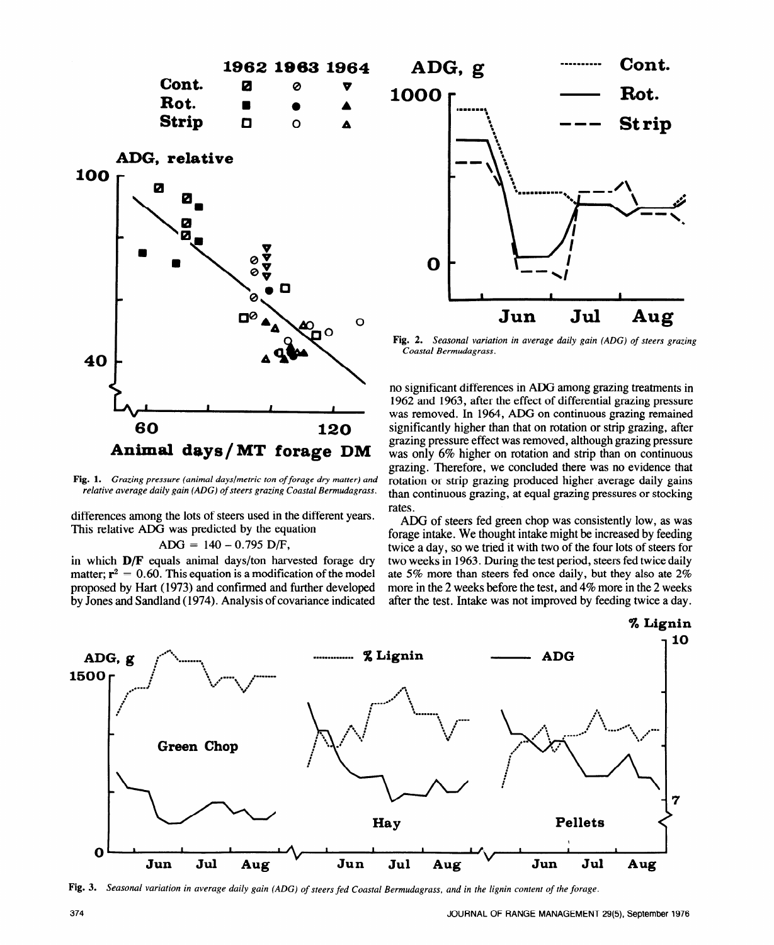

**Fig. 1.** *Grazing pressure (animal days/metric ton of forage dry matter) and relative average daily gain (ADG) of steers grazing Coastal Bermudagrass.* 

differences among the lots of steers used in the different years. This relative ADG was predicted by the equation

#### $ADG = 140 - 0.795$  D/F,

in which **D/F** equals animal days/ton harvested forage dry matter;  $\mathbf{r}^2 = 0.60$ . This equation is a modification of the model proposed by Hart ( 1973) and confirmed and further developed by Jones and Sandland ( 1974). Analysis of covariance indicated



**Fig. 2.** *Seasonal variation in average daily gain (ADG) of steers grazing Coastal Bermudagrass.* 

no significant differences in ADG among grazing treatments in 1962 and 1963, after the effect of differential grazing pressure was removed. In 1964, ADG on continuous grazing remained significantly higher than that on rotation or strip grazing, after grazing pressure effect was removed, although grazing pressure was only 6% higher on rotation and strip than on continuous grazing. Therefore, we concluded there was no evidence that rotation or strip grazing produced higher average daily gains than continuous grazing, at equal grazing pressures or stocking rates.

ADG of steers fed green chop was consistently low, as was forage intake. We thought intake might be increased by feeding twice a day, so we tried it with two of the four lots of steers for two weeks in 1963. During the test period, steers fed twice daily ate 5% more than steers fed once daily, but they also ate 2% more in the 2 weeks before the test, and 4% more in the 2 weeks after the test. Intake was not improved by feeding twice a day.



Fig. 3. *Seasonal variation in average daily gain (ADG) of steers fed Coastal Bermudagrass, and in the lignin content of the forage.*